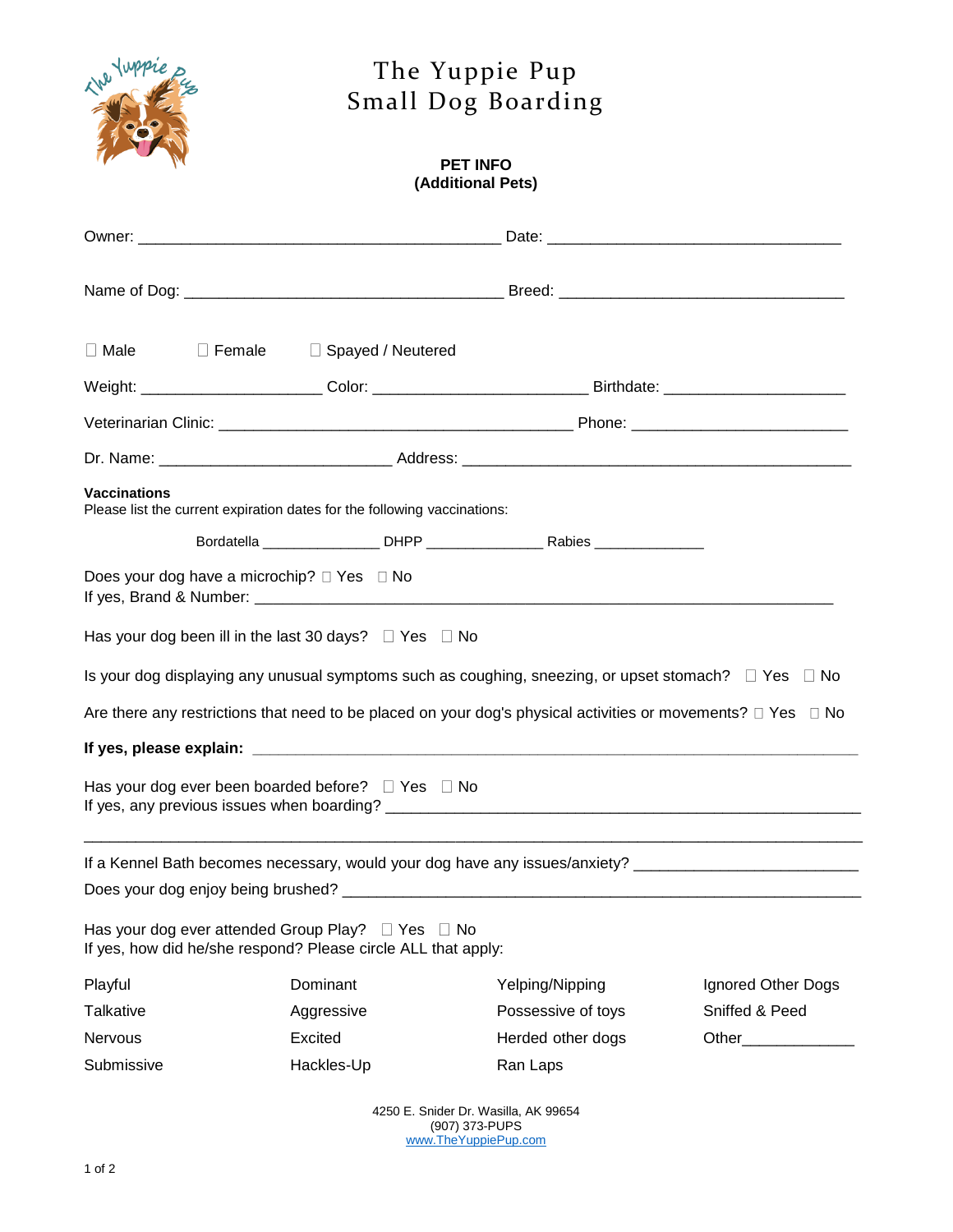

## The Yuppie Pup Small Dog Boarding

## **PET INFO (Additional Pets)**

| <b>Vaccinations</b> |  | Please list the current expiration dates for the following vaccinations:                                                     |                                                                                                                        |                    |
|---------------------|--|------------------------------------------------------------------------------------------------------------------------------|------------------------------------------------------------------------------------------------------------------------|--------------------|
|                     |  |                                                                                                                              |                                                                                                                        |                    |
|                     |  | Does your dog have a microchip? □ Yes □ No                                                                                   |                                                                                                                        |                    |
|                     |  | Has your dog been ill in the last 30 days? $\Box$ Yes $\Box$ No                                                              |                                                                                                                        |                    |
|                     |  |                                                                                                                              | Is your dog displaying any unusual symptoms such as coughing, sneezing, or upset stomach? $\square$ Yes $\square$ No   |                    |
|                     |  |                                                                                                                              | Are there any restrictions that need to be placed on your dog's physical activities or movements? $\Box$ Yes $\Box$ No |                    |
|                     |  |                                                                                                                              |                                                                                                                        |                    |
|                     |  | Has your dog ever been boarded before?  I Yes  I No                                                                          |                                                                                                                        |                    |
|                     |  |                                                                                                                              | If a Kennel Bath becomes necessary, would your dog have any issues/anxiety? _________________________________          |                    |
|                     |  | Has your dog ever attended Group Play? $\Box$ Yes $\Box$ No<br>If yes, how did he/she respond? Please circle ALL that apply: |                                                                                                                        |                    |
| Playful             |  | Dominant                                                                                                                     | Yelping/Nipping                                                                                                        | Ignored Other Dogs |
| Talkative           |  | Aggressive                                                                                                                   | Possessive of toys                                                                                                     | Sniffed & Peed     |
| Nervous             |  | Excited                                                                                                                      | Herded other dogs                                                                                                      |                    |
| Submissive          |  | Hackles-Up                                                                                                                   | Ran Laps                                                                                                               |                    |
|                     |  |                                                                                                                              |                                                                                                                        |                    |

4250 E. Snider Dr. Wasilla, AK 99654 (907) 373-PUPS [www.TheYuppiePup.com](http://www.theyuppiepup.com/)